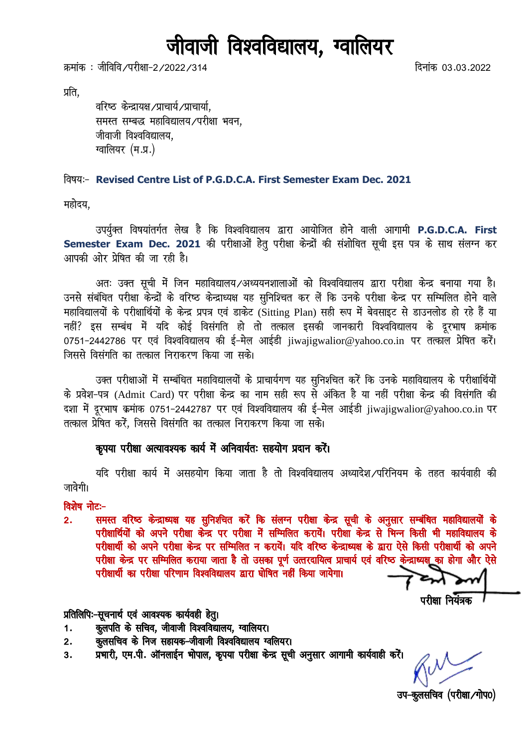# जीवाजी विश्वविद्यालय, ग्वालियर

क्रमांक : जीविवि ∕परीक्षा−2 ⁄2022 ⁄314 for the state of the state of the state of the state of the state of th

प्रति.

वरिष्ठ केन्द्रायक्ष /प्राचार्य, याचार्या, समस्त सम्बद्ध महाविद्यालय/परीक्षा भवन, जीवाजी विश्वविद्यालय. ग्वालियर (म.प्र.)

#### fo"k;%& **Revised Centre List of P.G.D.C.A. First Semester Exam Dec. 2021**

महोदय.

उपर्युक्त विषयांतर्गत लेख है कि विश्वविद्यालय द्वारा आयोजित होने वाली आगामी P.G.D.C.A. First Semester Exam Dec. 2021 की परीक्षाओं हेतू परीक्षा केन्द्रों की संशोधित सूची इस पत्र के साथ संलग्न कर आपकी ओर प्रेषित की जा रही है।

अतः उक्त सूची में जिन महाविद्यालय ⁄अध्ययनशालाओं को विश्वविद्यालय द्वारा परीक्षा केन्द्र बनाया गया है। उनसे संबंधित परीक्षा केन्द्रों के वरिष्ठ केन्द्राध्यक्ष यह सुनिश्चित कर लें कि उनके परीक्षा केन्द्र पर सम्मिलित होने वाले महाविद्यालयों के परीक्षार्थियों के केन्द्र प्रपत्र एवं डाकेट (Sitting Plan) सही रूप में बेवसाइट से डाउनलोड हो रहे हैं या नहीं? इस सम्बंध में यदि कोई विसंगति हो तो तत्काल इसकी जानकारी विश्वविद्यालय के दुरभाष क्रमांक 0751-2442786 पर एवं विश्वविद्यालय की ई-मेल आईडी iiwaiigwalior@yahoo.co.in पर तत्काल प्रेषित करें। जिससे विसंगति का तत्काल निराकरण किया जा सके।

उक्त परीक्षाओं में सम्बंधित महाविद्यालयों के प्राचार्यगण यह सुनिश्चित करें कि उनके महाविद्यालय के परीक्षार्थियों के प्रवेश-पत्र (Admit Card) पर परीक्षा केन्द्र का नाम सही रूप से अंकित है या नहीं परीक्षा केन्द्र की विसंगति की दशा में दूरभाष क्रमांक 0751-2442787 पर एवं विश्वविद्यालय की ई-मेल आईडी jiwajigwalior@yahoo.co.in पर तत्काल प्रेषित करें. जिससे विसंगति का तत्काल निराकरण किया जा सके।

#### कुपया परीक्षा अत्यावश्यक कार्य में अनिवार्यतः सहयोग प्रदान करें।

यदि परीक्षा कार्य में असहयोग किया जाता है तो विश्वविद्यालय अध्यादेश /परिनियम के तहत कार्यवाही की जावेगी।

#### विशेष नोट:-

2. समस्त वरिष्ठ केन्द्राध्यक्ष यह सुनिशचित करें कि संलग्न परीक्षा केन्द्र सूची के अनुसार सम्बंधित महाविद्यालयों के परीक्षार्थियों को अपने परीक्षा केन्द्र पर परीक्षा में सम्मिलित करायें। परीक्षा केन्द्र से भिन्न किसी भी महाविद्यालय के परीक्षार्थी को अपने परीक्षा केन्द्र पर सम्मिलित न करायें। यदि वरिष्ठ केन्द्राध्यक्ष के द्वारा ऐसे किसी परीक्षार्थी को अपने परीक्षा केन्द्र पर सम्मिलित कराया जाता है तो उसका पूर्ण उत्तरदायित्व प्राचार्य एवं वरिष्ठ केन्द्राध्यक्ष का होगा और ऐसे परीक्षार्थी का परीक्षा परिणाम विश्वविद्यालय द्वारा घोषित नहीं किया जायेगा।

 $\alpha$  if  $\alpha$  if  $\alpha$  if  $\alpha$  if  $\alpha$  if  $\alpha$  if  $\alpha$  if  $\alpha$  if  $\alpha$  if  $\alpha$  if  $\alpha$  if  $\alpha$  if  $\alpha$  if  $\alpha$  if  $\alpha$  if  $\alpha$  if  $\alpha$  if  $\alpha$  if  $\alpha$  if  $\alpha$  if  $\alpha$  if  $\alpha$  if  $\alpha$  if  $\alpha$  if  $\alpha$  if  $\alpha$  if  $\alpha$  if  $\alpha$ 

### प्रतिलिपिः-सूचनार्थ एवं आवश्यक कार्यवही हेतु।

- 1. कुलपति के सचिव, जीवाजी विश्वविद्यालय, ग्वालियर।
- 2. कुलसचिव के निज सहायक-जीवाजी विश्वविद्यालय ग्वलियर।
- 3. प्रभारी, एम.पी. ऑनलाईन भोपाल, कृपया परीक्षा केन्द्र सूची अनुसार आगामी कार्यवाही करें।

उप-कुलसचिव (परीक्षा/गोप0)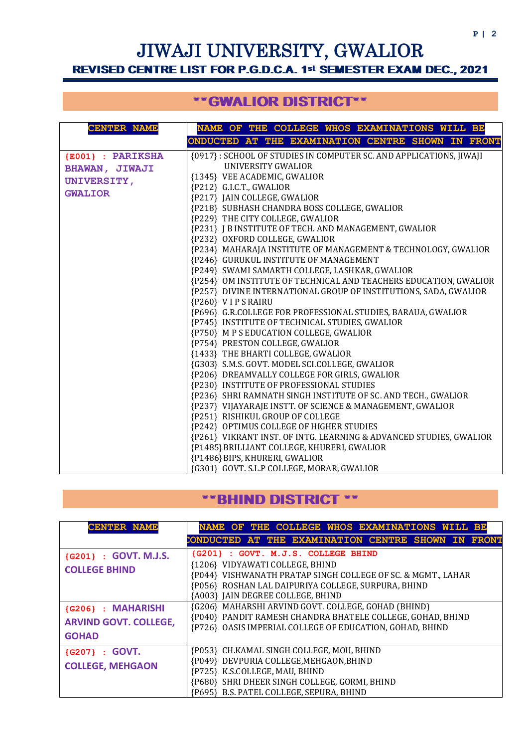# JIWAJI UNIVERSITY, GWALIOR REVISED CENTRE LIST FOR P.G.D.C.A. 1st SEMESTER EXAM DEC., 2021

# \*\*GWALIOR DISTRICT\*\*

| <b>CENTER NAME</b>    | NAME OF THE COLLEGE WHOS EXAMINATIONS WILL BE                                |  |  |  |  |  |  |
|-----------------------|------------------------------------------------------------------------------|--|--|--|--|--|--|
|                       | ONDUCTED AT THE EXAMINATION CENTRE SHOWN IN FRONT                            |  |  |  |  |  |  |
| {E001} : PARIKSHA     | {0917} : SCHOOL OF STUDIES IN COMPUTER SC. AND APPLICATIONS, JIWAJI          |  |  |  |  |  |  |
| <b>BHAWAN, JIWAJI</b> | UNIVERSITY GWALIOR                                                           |  |  |  |  |  |  |
|                       | {1345} VEE ACADEMIC, GWALIOR                                                 |  |  |  |  |  |  |
| <b>UNIVERSITY,</b>    | {P212} G.I.C.T., GWALIOR                                                     |  |  |  |  |  |  |
| <b>GWALIOR</b>        | {P217} JAIN COLLEGE, GWALIOR                                                 |  |  |  |  |  |  |
|                       | {P218} SUBHASH CHANDRA BOSS COLLEGE, GWALIOR                                 |  |  |  |  |  |  |
|                       | {P229} THE CITY COLLEGE, GWALIOR                                             |  |  |  |  |  |  |
|                       | {P231} J B INSTITUTE OF TECH. AND MANAGEMENT, GWALIOR                        |  |  |  |  |  |  |
|                       | {P232} OXFORD COLLEGE, GWALIOR                                               |  |  |  |  |  |  |
|                       | {P234} MAHARAJA INSTITUTE OF MANAGEMENT & TECHNOLOGY, GWALIOR                |  |  |  |  |  |  |
|                       | {P246} GURUKUL INSTITUTE OF MANAGEMENT                                       |  |  |  |  |  |  |
|                       | {P249} SWAMI SAMARTH COLLEGE, LASHKAR, GWALIOR                               |  |  |  |  |  |  |
|                       | {P254} OM INSTITUTE OF TECHNICAL AND TEACHERS EDUCATION, GWALIOR             |  |  |  |  |  |  |
|                       | {P257} DIVINE INTERNATIONAL GROUP OF INSTITUTIONS, SADA, GWALIOR             |  |  |  |  |  |  |
|                       | {P260} VIPS RAIRU                                                            |  |  |  |  |  |  |
|                       | {P696} G.R.COLLEGE FOR PROFESSIONAL STUDIES, BARAUA, GWALIOR                 |  |  |  |  |  |  |
|                       | {P745} INSTITUTE OF TECHNICAL STUDIES, GWALIOR                               |  |  |  |  |  |  |
|                       | {P750} M P S EDUCATION COLLEGE, GWALIOR                                      |  |  |  |  |  |  |
|                       | {P754} PRESTON COLLEGE, GWALIOR                                              |  |  |  |  |  |  |
|                       | {1433} THE BHARTI COLLEGE, GWALIOR                                           |  |  |  |  |  |  |
|                       | {G303} S.M.S. GOVT. MODEL SCI.COLLEGE, GWALIOR                               |  |  |  |  |  |  |
|                       | {P206} DREAMVALLY COLLEGE FOR GIRLS, GWALIOR                                 |  |  |  |  |  |  |
|                       | {P230} INSTITUTE OF PROFESSIONAL STUDIES                                     |  |  |  |  |  |  |
|                       | {P236} SHRI RAMNATH SINGH INSTITUTE OF SC. AND TECH., GWALIOR                |  |  |  |  |  |  |
|                       | {P237} VIJAYARAJE INSTT. OF SCIENCE & MANAGEMENT, GWALIOR                    |  |  |  |  |  |  |
|                       | {P251} RISHIKUL GROUP OF COLLEGE<br>{P242} OPTIMUS COLLEGE OF HIGHER STUDIES |  |  |  |  |  |  |
|                       | {P261} VIKRANT INST. OF INTG. LEARNING & ADVANCED STUDIES, GWALIOR           |  |  |  |  |  |  |
|                       | {P1485} BRILLIANT COLLEGE, KHURERI, GWALIOR                                  |  |  |  |  |  |  |
|                       | {P1486} BIPS, KHURERI, GWALIOR                                               |  |  |  |  |  |  |
|                       | {G301} GOVT. S.L.P COLLEGE, MORAR, GWALIOR                                   |  |  |  |  |  |  |

## \*\*BHIND DISTRICT \*\*

| <b>CENTER NAME</b>                                                | NAME OF THE COLLEGE WHOS EXAMINATIONS WILL BE                                                                                                                                                                                      |
|-------------------------------------------------------------------|------------------------------------------------------------------------------------------------------------------------------------------------------------------------------------------------------------------------------------|
|                                                                   | CONDUCTED AT THE EXAMINATION CENTRE SHOWN IN FRONT                                                                                                                                                                                 |
| {G201} : GOVT. M.J.S.<br><b>COLLEGE BHIND</b>                     | {G201} : GOVT. M.J.S. COLLEGE BHIND<br>{1206} VIDYAWATI COLLEGE, BHIND<br>{P044} VISHWANATH PRATAP SINGH COLLEGE OF SC. & MGMT., LAHAR<br>{P056} ROSHAN LAL DAIPURIYA COLLEGE, SURPURA, BHIND<br>{A003} JAIN DEGREE COLLEGE, BHIND |
| {G206}: MAHARISHI<br><b>ARVIND GOVT. COLLEGE,</b><br><b>GOHAD</b> | {G206} MAHARSHI ARVIND GOVT. COLLEGE, GOHAD (BHIND)<br>{P040} PANDIT RAMESH CHANDRA BHATELE COLLEGE, GOHAD, BHIND<br>{P726} OASIS IMPERIAL COLLEGE OF EDUCATION, GOHAD, BHIND                                                      |
| ${G207} : GOVT.$<br><b>COLLEGE, MEHGAON</b>                       | {P053} CH.KAMAL SINGH COLLEGE, MOU, BHIND<br>{P049} DEVPURIA COLLEGE, MEHGAON, BHIND<br>{P725} K.S.COLLEGE, MAU, BHIND<br>{P680} SHRI DHEER SINGH COLLEGE, GORMI, BHIND<br>{P695} B.S. PATEL COLLEGE, SEPURA, BHIND                |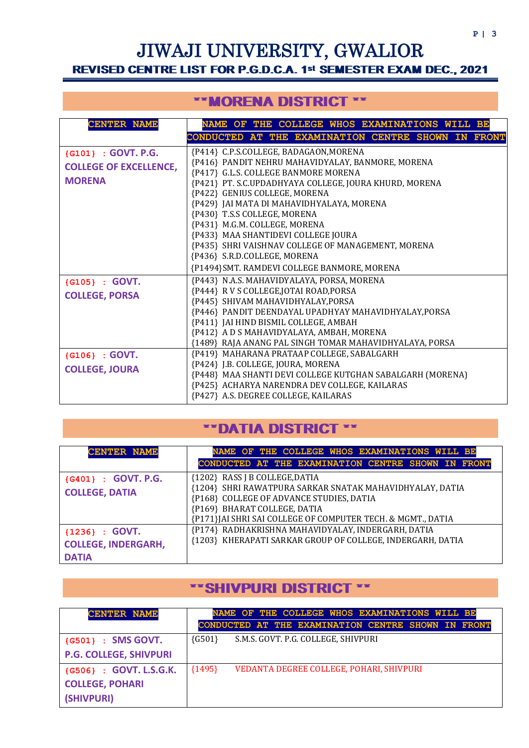# JIWAJI UNIVERSITY, GWALIOR REVISED CENTRE LIST FOR P.G.D.C.A. 1st SEMESTER EXAM DEC., 2021

# \*\*MORENA DISTRICT \*\*

| <b>CENTER NAME</b>            | NAME OF THE COLLEGE WHOS EXAMINATIONS WILL BE                                                  |  |  |  |  |  |
|-------------------------------|------------------------------------------------------------------------------------------------|--|--|--|--|--|
|                               | CONDUCTED AT THE EXAMINATION CENTRE SHOWN IN FRONT                                             |  |  |  |  |  |
| {G101} : GOVT. P.G.           | {P414} C.P.S.COLLEGE, BADAGAON, MORENA                                                         |  |  |  |  |  |
| <b>COLLEGE OF EXCELLENCE,</b> | {P416} PANDIT NEHRU MAHAVIDYALAY, BANMORE, MORENA                                              |  |  |  |  |  |
| <b>MORENA</b>                 | {P417} G.L.S. COLLEGE BANMORE MORENA<br>{P421} PT. S.C.UPDADHYAYA COLLEGE, JOURA KHURD, MORENA |  |  |  |  |  |
|                               | {P422} GENIUS COLLEGE, MORENA                                                                  |  |  |  |  |  |
|                               | {P429} JAI MATA DI MAHAVIDHYALAYA, MORENA                                                      |  |  |  |  |  |
|                               | {P430} T.S.S COLLEGE, MORENA                                                                   |  |  |  |  |  |
|                               | {P431} M.G.M. COLLEGE, MORENA                                                                  |  |  |  |  |  |
|                               | {P433} MAA SHANTIDEVI COLLEGE JOURA                                                            |  |  |  |  |  |
|                               | {P435} SHRI VAISHNAV COLLEGE OF MANAGEMENT, MORENA                                             |  |  |  |  |  |
|                               | {P436} S.R.D.COLLEGE, MORENA                                                                   |  |  |  |  |  |
|                               | {P1494}SMT. RAMDEVI COLLEGE BANMORE, MORENA                                                    |  |  |  |  |  |
| {G105} : GOVT.                | {P443} N.A.S. MAHAVIDYALAYA, PORSA, MORENA                                                     |  |  |  |  |  |
| <b>COLLEGE, PORSA</b>         | {P444} R V S COLLEGE, JOTAI ROAD, PORSA                                                        |  |  |  |  |  |
|                               | {P445} SHIVAM MAHAVIDHYALAY, PORSA                                                             |  |  |  |  |  |
|                               | {P446} PANDIT DEENDAYAL UPADHYAY MAHAVIDHYALAY, PORSA                                          |  |  |  |  |  |
|                               | {P411} JAI HIND BISMIL COLLEGE, AMBAH<br>{P412} A D S MAHAVIDYALAYA, AMBAH, MORENA             |  |  |  |  |  |
|                               | {1489} RAJA ANANG PAL SINGH TOMAR MAHAVIDHYALAYA, PORSA                                        |  |  |  |  |  |
| ${G106} : GOVT.$              | {P419} MAHARANA PRATAAP COLLEGE, SABALGARH                                                     |  |  |  |  |  |
|                               | {P424} J.B. COLLEGE, JOURA, MORENA                                                             |  |  |  |  |  |
| <b>COLLEGE, JOURA</b>         | {P448} MAA SHANTI DEVI COLLEGE KUTGHAN SABALGARH (MORENA)                                      |  |  |  |  |  |
|                               | {P425} ACHARYA NARENDRA DEV COLLEGE, KAILARAS                                                  |  |  |  |  |  |
|                               | {P427} A.S. DEGREE COLLEGE, KAILARAS                                                           |  |  |  |  |  |

## \*\*DATIA DISTRICT \*\*

| <b>CENTER NAME</b>         | NAME OF THE COLLEGE WHOS EXAMINATIONS WILL BE                                              |  |  |  |
|----------------------------|--------------------------------------------------------------------------------------------|--|--|--|
|                            | CONDUCTED AT THE EXAMINATION CENTRE SHOWN IN FRONT                                         |  |  |  |
| {G401} : GOVT. P.G.        | {1202} RASS J B COLLEGE, DATIA<br>{1204} SHRI RAWATPURA SARKAR SNATAK MAHAVIDHYALAY, DATIA |  |  |  |
| <b>COLLEGE, DATIA</b>      | {P168} COLLEGE OF ADVANCE STUDIES, DATIA                                                   |  |  |  |
|                            | {P169} BHARAT COLLEGE, DATIA                                                               |  |  |  |
|                            | {P171} JAI SHRI SAI COLLEGE OF COMPUTER TECH. & MGMT., DATIA                               |  |  |  |
| ${1236} : GOVT.$           | {P174} RADHAKRISHNA MAHAVIDYALAY, INDERGARH, DATIA                                         |  |  |  |
| <b>COLLEGE, INDERGARH,</b> | {1203} KHERAPATI SARKAR GROUP OF COLLEGE, INDERGARH, DATIA                                 |  |  |  |
| <b>DATIA</b>               |                                                                                            |  |  |  |

### \*\*SHIVPURI DISTRICT \*\*

| <b>CENTER NAME</b>            | NAME OF THE COLLEGE WHOS EXAMINATIONS WILL BE<br>CONDUCTED AT THE EXAMINATION CENTRE SHOWN IN FRONT |
|-------------------------------|-----------------------------------------------------------------------------------------------------|
|                               |                                                                                                     |
| {G501} : SMS GOVT.            | $\{G501\}$<br>S.M.S. GOVT. P.G. COLLEGE, SHIVPURI                                                   |
| <b>P.G. COLLEGE, SHIVPURI</b> |                                                                                                     |
| {G506}: GOVT. L.S.G.K.        | ${1495}$<br>VEDANTA DEGREE COLLEGE, POHARI, SHIVPURI                                                |
| <b>COLLEGE, POHARI</b>        |                                                                                                     |
| (SHIVPURI)                    |                                                                                                     |